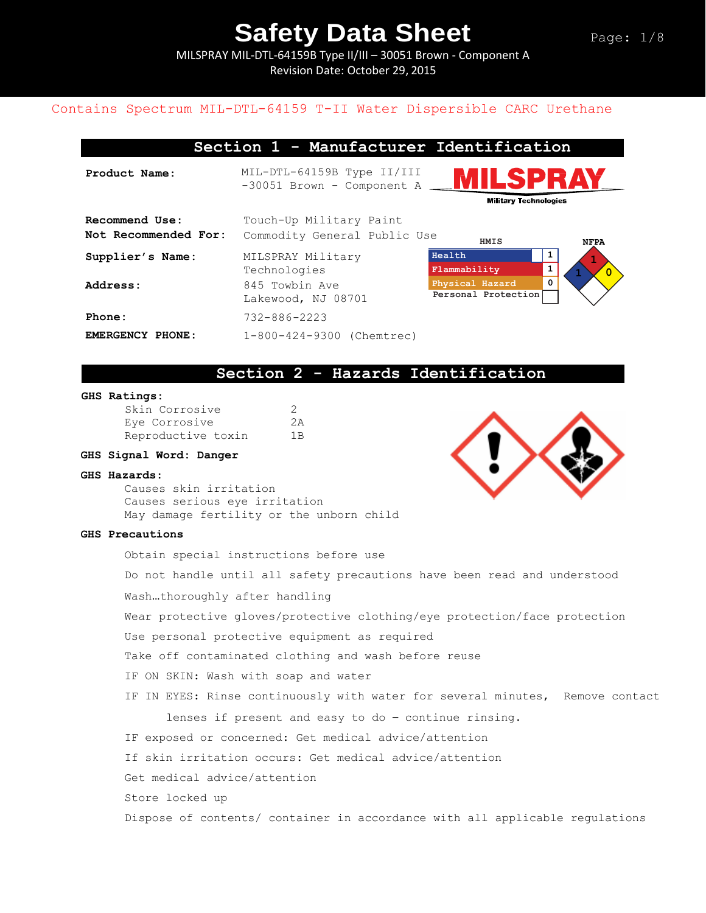MILSPRAY MIL-DTL-64159B Type II/III – 30051 Brown - Component A Revision Date: October 29, 2015

### Contains Spectrum MIL-DTL-64159 T-II Water Dispersible CARC Urethane

### **Section 1 - Manufacturer Identification**

**Product Name:** MIL-DTL-64159B Type II/III -30051 Brown - Component A **Military Technologies Recommend Use:** Touch-Up Military Paint Not Recommended For: Commodity General Public Use  **HMIS NFPA Health 1 Supplier's Name:** MILSPRAY Military **1 Flammability 1** Technologies **1 0 Physical Hazard 0** Address: 845 Towbin Ave **Personal Protection** Lakewood, NJ 08701 **Phone:** 732-886-2223 **EMERGENCY PHONE:** 1-800-424-9300 (Chemtrec)

### **Section 2 - Hazards Identification**

#### **GHS Ratings:**

| Skin Corrosive     | -2 |
|--------------------|----|
| Eye Corrosive      | 2A |
| Reproductive toxin | 1B |

#### **GHS Signal Word: Danger**

#### **GHS Hazards:**

Causes skin irritation Causes serious eye irritation May damage fertility or the unborn child

#### **GHS Precautions**

Obtain special instructions before use

Do not handle until all safety precautions have been read and understood

Wash…thoroughly after handling

Wear protective gloves/protective clothing/eye protection/face protection

Use personal protective equipment as required

Take off contaminated clothing and wash before reuse

IF ON SKIN: Wash with soap and water

IF IN EYES: Rinse continuously with water for several minutes, Remove contact

lenses if present and easy to do – continue rinsing.

IF exposed or concerned: Get medical advice/attention

If skin irritation occurs: Get medical advice/attention

Get medical advice/attention

Store locked up

Dispose of contents/ container in accordance with all applicable regulations

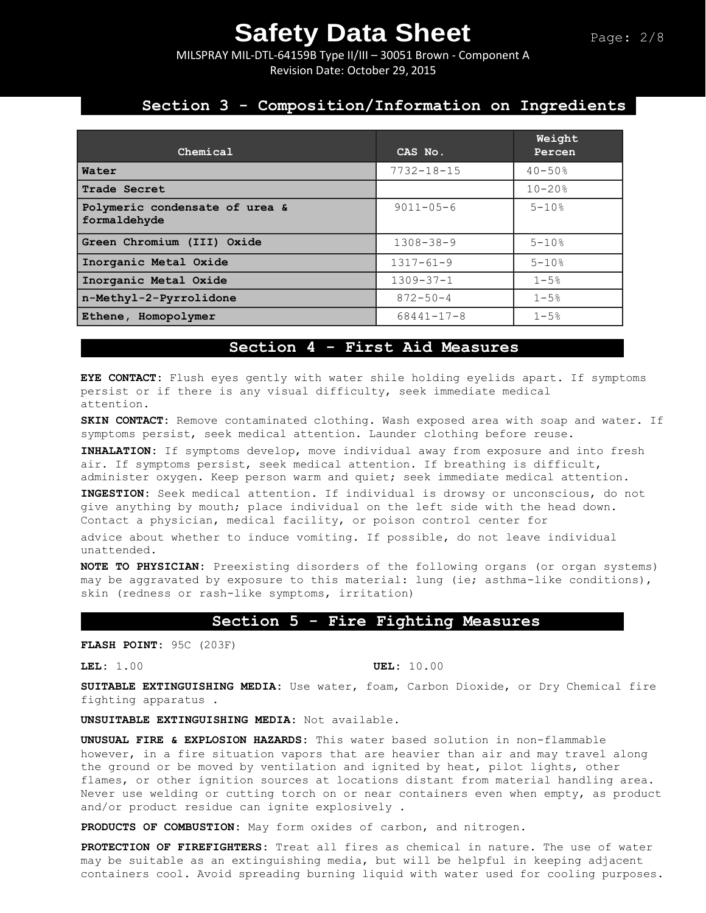MILSPRAY MIL-DTL-64159B Type II/III – 30051 Brown - Component A Revision Date: October 29, 2015

## **Section 3 - Composition/Information on Ingredients**

| Chemical                                       | CAS No.          | Weight<br>Percen |
|------------------------------------------------|------------------|------------------|
| Water                                          | $7732 - 18 - 15$ | $40 - 50$ %      |
| Trade Secret                                   |                  | $10 - 20%$       |
| Polymeric condensate of urea &<br>formaldehyde | $9011 - 05 - 6$  | $5 - 10$ %       |
| Green Chromium (III) Oxide                     | $1308 - 38 - 9$  | $5 - 10$ %       |
| Inorganic Metal Oxide                          | $1317 - 61 - 9$  | $5 - 10$ %       |
| Inorganic Metal Oxide                          | $1309 - 37 - 1$  | $1 - 5%$         |
| n-Methyl-2-Pyrrolidone                         | $872 - 50 - 4$   | $1 - 5%$         |
| Ethene, Homopolymer                            | $68441 - 17 - 8$ | $1 - 5%$         |

## **Section 4 - First Aid Measures**

**EYE CONTACT:** Flush eyes gently with water shile holding eyelids apart. If symptoms persist or if there is any visual difficulty, seek immediate medical attention.

**SKIN CONTACT:** Remove contaminated clothing. Wash exposed area with soap and water. If symptoms persist, seek medical attention. Launder clothing before reuse.

**INHALATION:** If symptoms develop, move individual away from exposure and into fresh air. If symptoms persist, seek medical attention. If breathing is difficult, administer oxygen. Keep person warm and quiet; seek immediate medical attention.

**INGESTION:** Seek medical attention. If individual is drowsy or unconscious, do not give anything by mouth; place individual on the left side with the head down. Contact a physician, medical facility, or poison control center for advice about whether to induce vomiting. If possible, do not leave individual unattended.

**NOTE TO PHYSICIAN:** Preexisting disorders of the following organs (or organ systems) may be aggravated by exposure to this material: lung (ie; asthma-like conditions), skin (redness or rash-like symptoms, irritation)

### **Section 5 - Fire Fighting Measures**

**FLASH POINT:** 95C (203F)

**LEL:** 1.00 **UEL:** 10.00

**SUITABLE EXTINGUISHING MEDIA:** Use water, foam, Carbon Dioxide, or Dry Chemical fire fighting apparatus .

**UNSUITABLE EXTINGUISHING MEDIA:** Not available.

**UNUSUAL FIRE & EXPLOSION HAZARDS:** This water based solution in non-flammable however, in a fire situation vapors that are heavier than air and may travel along the ground or be moved by ventilation and ignited by heat, pilot lights, other flames, or other ignition sources at locations distant from material handling area. Never use welding or cutting torch on or near containers even when empty, as product and/or product residue can ignite explosively .

**PRODUCTS OF COMBUSTION:** May form oxides of carbon, and nitrogen.

**PROTECTION OF FIREFIGHTERS:** Treat all fires as chemical in nature. The use of water may be suitable as an extinguishing media, but will be helpful in keeping adjacent containers cool. Avoid spreading burning liquid with water used for cooling purposes.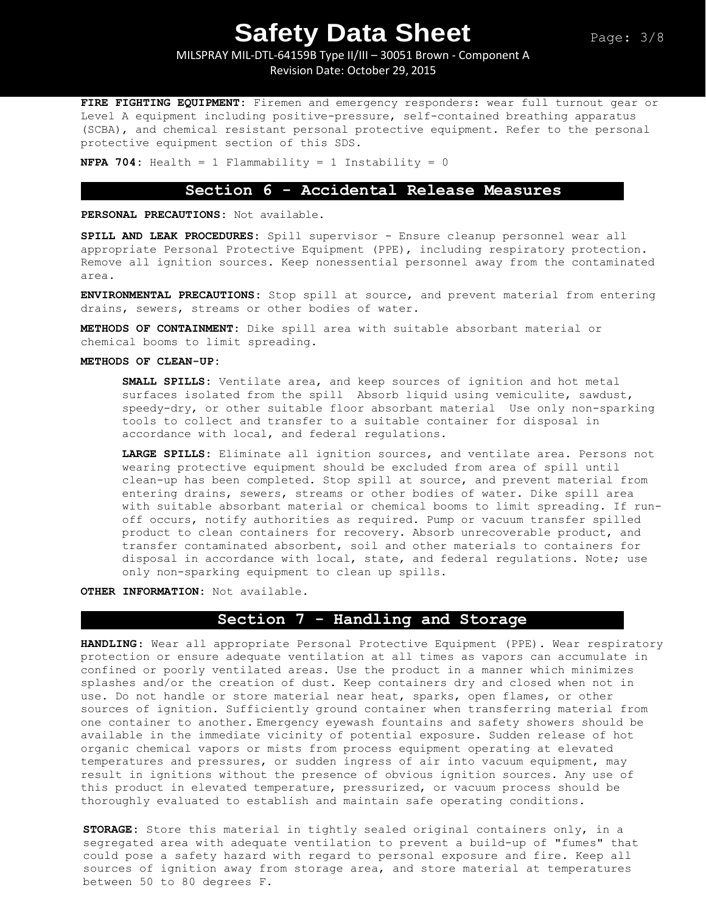MILSPRAY MIL-DTL-64159B Type II/III – 30051 Brown - Component A Revision Date: October 29, 2015

**FIRE FIGHTING EQUIPMENT:** Firemen and emergency responders: wear full turnout gear or Level A equipment including positive-pressure, self-contained breathing apparatus (SCBA), and chemical resistant personal protective equipment. Refer to the personal protective equipment section of this SDS.

**NFPA 704:** Health = 1 Flammability = 1 Instability = 0

### **Section 6 - Accidental Release Measures**

**PERSONAL PRECAUTIONS:** Not available.

**SPILL AND LEAK PROCEDURES:** Spill supervisor - Ensure cleanup personnel wear all appropriate Personal Protective Equipment (PPE), including respiratory protection. Remove all ignition sources. Keep nonessential personnel away from the contaminated area.

**ENVIRONMENTAL PRECAUTIONS:** Stop spill at source, and prevent material from entering drains, sewers, streams or other bodies of water.

**METHODS OF CONTAINMENT:** Dike spill area with suitable absorbant material or chemical booms to limit spreading.

#### **METHODS OF CLEAN-UP:**

**SMALL SPILLS:** Ventilate area, and keep sources of ignition and hot metal surfaces isolated from the spill Absorb liquid using vemiculite, sawdust, speedy-dry, or other suitable floor absorbant material Use only non-sparking tools to collect and transfer to a suitable container for disposal in accordance with local, and federal regulations.

**LARGE SPILLS:** Eliminate all ignition sources, and ventilate area. Persons not wearing protective equipment should be excluded from area of spill until clean-up has been completed. Stop spill at source, and prevent material from entering drains, sewers, streams or other bodies of water. Dike spill area with suitable absorbant material or chemical booms to limit spreading. If runoff occurs, notify authorities as required. Pump or vacuum transfer spilled product to clean containers for recovery. Absorb unrecoverable product, and transfer contaminated absorbent, soil and other materials to containers for disposal in accordance with local, state, and federal regulations. Note; use only non-sparking equipment to clean up spills.

**OTHER INFORMATION:** Not available.

## **Section 7 - Handling and Storage**

**HANDLING**: Wear all appropriate Personal Protective Equipment (PPE). Wear respiratory protection or ensure adequate ventilation at all times as vapors can accumulate in confined or poorly ventilated areas. Use the product in a manner which minimizes splashes and/or the creation of dust. Keep containers dry and closed when not in use. Do not handle or store material near heat, sparks, open flames, or other sources of ignition. Sufficiently ground container when transferring material from one container to another. Emergency eyewash fountains and safety showers should be available in the immediate vicinity of potential exposure. Sudden release of hot organic chemical vapors or mists from process equipment operating at elevated temperatures and pressures, or sudden ingress of air into vacuum equipment, may result in ignitions without the presence of obvious ignition sources. Any use of this product in elevated temperature, pressurized, or vacuum process should be thoroughly evaluated to establish and maintain safe operating conditions.

**STORAGE:** Store this material in tightly sealed original containers only, in a segregated area with adequate ventilation to prevent a build-up of "fumes" that could pose a safety hazard with regard to personal exposure and fire. Keep all sources of ignition away from storage area, and store material at temperatures between 50 to 80 degrees F.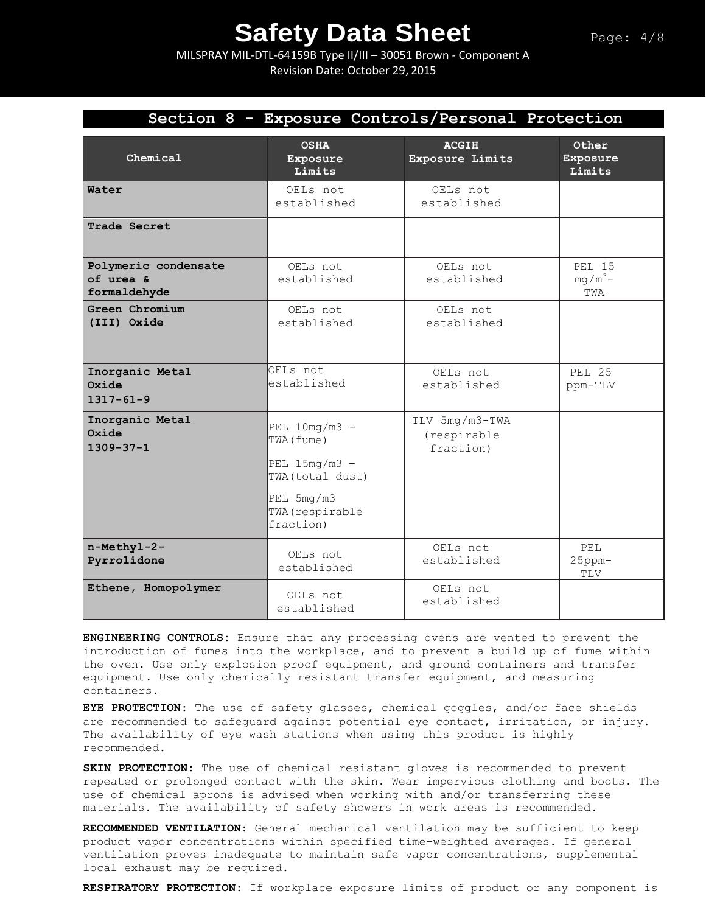MILSPRAY MIL-DTL-64159B Type II/III – 30051 Brown - Component A Revision Date: October 29, 2015

|                                                   | Section 8 - Exposure Controls/Personal Protection                    |                                            |                             |
|---------------------------------------------------|----------------------------------------------------------------------|--------------------------------------------|-----------------------------|
| Chemical                                          | <b>OSHA</b><br>Exposure<br>Limits                                    | <b>ACGIH</b><br>Exposure Limits            | Other<br>Exposure<br>Limits |
| Water                                             | OELs not<br>established                                              | OELs not<br>established                    |                             |
| Trade Secret                                      |                                                                      |                                            |                             |
| Polymeric condensate<br>of urea &<br>formaldehyde | OELs not<br>established                                              | OELs not<br>established                    | PEL 15<br>$mq/m^3$ -<br>TWA |
| Green Chromium<br>(III) Oxide                     | OELs not<br>established                                              | OELs not<br>established                    |                             |
| Inorganic Metal<br>Oxide<br>$1317 - 61 - 9$       | OELs not<br>established                                              | OELs not<br>established                    | <b>PEL 25</b><br>ppm-TLV    |
| Inorganic Metal<br>Oxide<br>$1309 - 37 - 1$       | PEL $10mg/m3$ -<br>TWA (fume)<br>PEL $15mg/m3$ -<br>TWA (total dust) | TLV 5mg/m3-TWA<br>(respirable<br>fraction) |                             |
|                                                   | $PEL$ 5mg/m3<br>TWA (respirable<br>fraction)                         |                                            |                             |
| n-Methyl-2-<br>Pyrrolidone                        | OELs not<br>established                                              | OELs not<br>established                    | PET.<br>$25$ ppm $-$<br>TLV |
| Ethene, Homopolymer                               | OELs not<br>established                                              | OELs not<br>established                    |                             |

**ENGINEERING CONTROLS:** Ensure that any processing ovens are vented to prevent the introduction of fumes into the workplace, and to prevent a build up of fume within the oven. Use only explosion proof equipment, and ground containers and transfer equipment. Use only chemically resistant transfer equipment, and measuring containers.

**EYE PROTECTION**: The use of safety glasses, chemical goggles, and/or face shields are recommended to safeguard against potential eye contact, irritation, or injury. The availability of eye wash stations when using this product is highly recommended.

**SKIN PROTECTION:** The use of chemical resistant gloves is recommended to prevent repeated or prolonged contact with the skin. Wear impervious clothing and boots. The use of chemical aprons is advised when working with and/or transferring these materials. The availability of safety showers in work areas is recommended**.** 

**RECOMMENDED VENTILATION:** General mechanical ventilation may be sufficient to keep product vapor concentrations within specified time-weighted averages. If general ventilation proves inadequate to maintain safe vapor concentrations, supplemental local exhaust may be required.

**RESPIRATORY PROTECTION**: If workplace exposure limits of product or any component is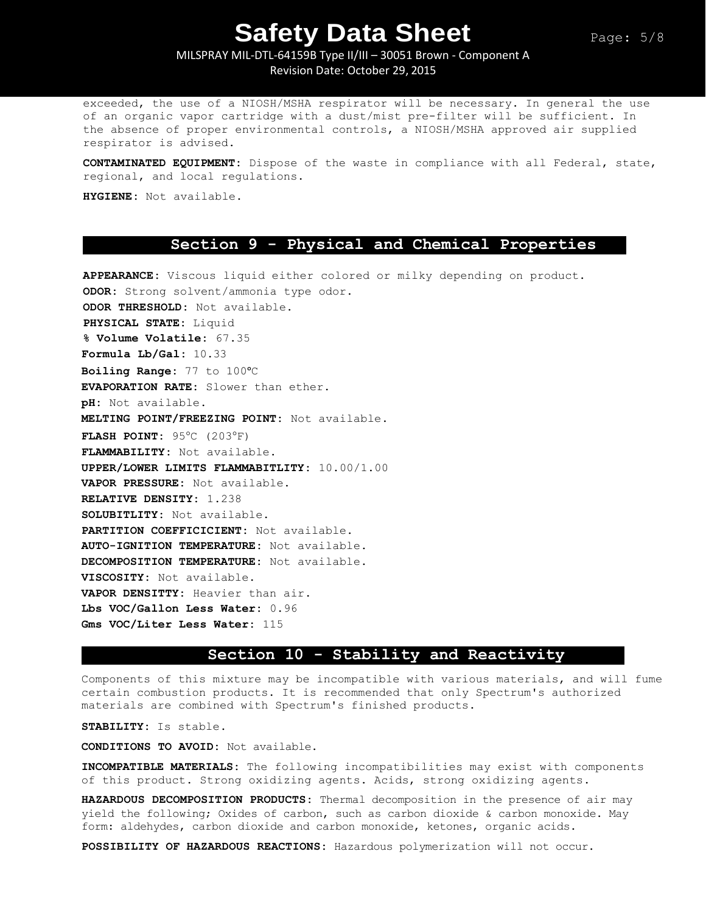MILSPRAY MIL-DTL-64159B Type II/III – 30051 Brown - Component A Revision Date: October 29, 2015

exceeded, the use of a NIOSH/MSHA respirator will be necessary. In general the use of an organic vapor cartridge with a dust/mist pre-filter will be sufficient. In the absence of proper environmental controls, a NIOSH/MSHA approved air supplied respirator is advised.

**CONTAMINATED EQUIPMENT:** Dispose of the waste in compliance with all Federal, state, regional, and local regulations.

**HYGIENE:** Not available.

### **Section 9 - Physical and Chemical Properties**

**APPEARANCE:** Viscous liquid either colored or milky depending on product. **ODOR:** Strong solvent/ammonia type odor. **ODOR THRESHOLD:** Not available. **PHYSICAL STATE:** Liquid **% Volume Volatile:** 67.35 **Formula Lb/Gal:** 10.33 **Boiling Range:** 77 to 100ᵒC **EVAPORATION RATE:** Slower than ether. **pH:** Not available. **MELTING POINT/FREEZING POINT:** Not available. **FLASH POINT:** 95°C (203°F) **FLAMMABILITY:** Not available. **UPPER/LOWER LIMITS FLAMMABITLITY:** 10.00/1.00 **VAPOR PRESSURE:** Not available. **RELATIVE DENSITY:** 1.238 **SOLUBITLITY:** Not available. **PARTITION COEFFICICIENT:** Not available. **AUTO-IGNITION TEMPERATURE:** Not available. **DECOMPOSITION TEMPERATURE:** Not available. **VISCOSITY:** Not available. **VAPOR DENSITTY:** Heavier than air. **Lbs VOC/Gallon Less Water:** 0.96 **Gms VOC/Liter Less Water:** 115

### **Section 10 - Stability and Reactivity**

Components of this mixture may be incompatible with various materials, and will fume certain combustion products. It is recommended that only Spectrum's authorized materials are combined with Spectrum's finished products.

**STABILITY:** Is stable.

**CONDITIONS TO AVOID:** Not available.

**INCOMPATIBLE MATERIALS:** The following incompatibilities may exist with components of this product. Strong oxidizing agents. Acids, strong oxidizing agents.

**HAZARDOUS DECOMPOSITION PRODUCTS:** Thermal decomposition in the presence of air may yield the following; Oxides of carbon, such as carbon dioxide & carbon monoxide. May form: aldehydes, carbon dioxide and carbon monoxide, ketones, organic acids.

**POSSIBILITY OF HAZARDOUS REACTIONS:** Hazardous polymerization will not occur.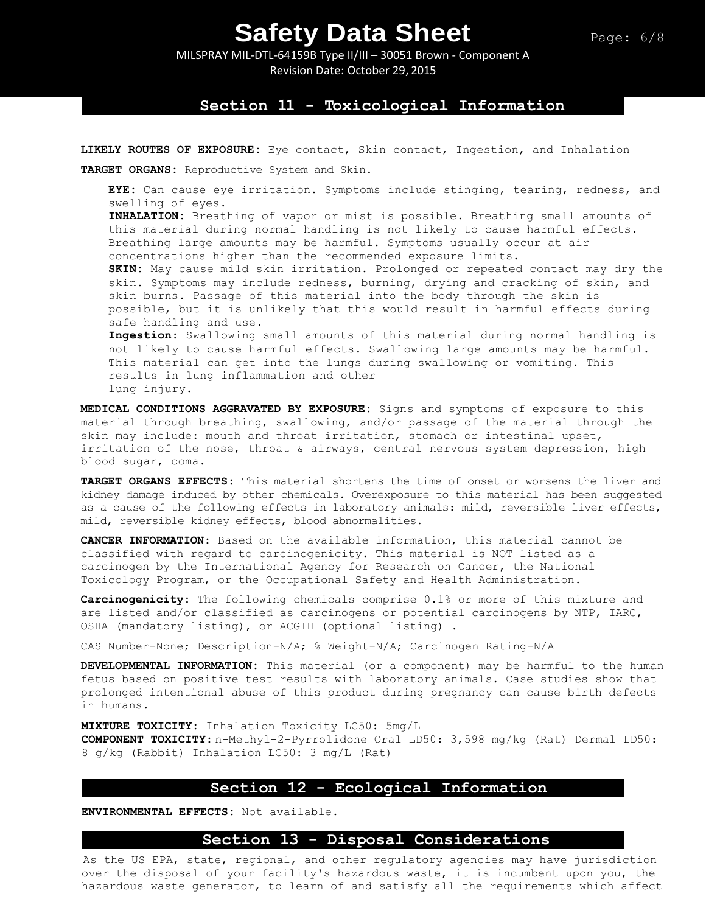MILSPRAY MIL-DTL-64159B Type II/III – 30051 Brown - Component A Revision Date: October 29, 2015

### **Section 11 - Toxicological Information**

**LIKELY ROUTES OF EXPOSURE:** Eye contact, Skin contact, Ingestion, and Inhalation

**TARGET ORGANS:** Reproductive System and Skin.

**EYE:** Can cause eye irritation. Symptoms include stinging, tearing, redness, and swelling of eyes.

**INHALATION:** Breathing of vapor or mist is possible. Breathing small amounts of this material during normal handling is not likely to cause harmful effects. Breathing large amounts may be harmful. Symptoms usually occur at air concentrations higher than the recommended exposure limits.

**SKIN:** May cause mild skin irritation. Prolonged or repeated contact may dry the skin. Symptoms may include redness, burning, drying and cracking of skin, and skin burns. Passage of this material into the body through the skin is possible, but it is unlikely that this would result in harmful effects during safe handling and use.

**Ingestion:** Swallowing small amounts of this material during normal handling is not likely to cause harmful effects. Swallowing large amounts may be harmful. This material can get into the lungs during swallowing or vomiting. This results in lung inflammation and other lung injury.

**MEDICAL CONDITIONS AGGRAVATED BY EXPOSURE:** Signs and symptoms of exposure to this material through breathing, swallowing, and/or passage of the material through the skin may include: mouth and throat irritation, stomach or intestinal upset, irritation of the nose, throat & airways, central nervous system depression, high blood sugar, coma.

**TARGET ORGANS EFFECTS:** This material shortens the time of onset or worsens the liver and kidney damage induced by other chemicals. Overexposure to this material has been suggested as a cause of the following effects in laboratory animals: mild, reversible liver effects, mild, reversible kidney effects, blood abnormalities.

**CANCER INFORMATION:** Based on the available information, this material cannot be classified with regard to carcinogenicity. This material is NOT listed as a carcinogen by the International Agency for Research on Cancer, the National Toxicology Program, or the Occupational Safety and Health Administration.

**Carcinogenicity:** The following chemicals comprise 0.1% or more of this mixture and are listed and/or classified as carcinogens or potential carcinogens by NTP, IARC, OSHA (mandatory listing), or ACGIH (optional listing) .

CAS Number-None; Description-N/A; % Weight-N/A; Carcinogen Rating-N/A

**DEVELOPMENTAL INFORMATION:** This material (or a component) may be harmful to the human fetus based on positive test results with laboratory animals. Case studies show that prolonged intentional abuse of this product during pregnancy can cause birth defects in humans.

**MIXTURE TOXICITY:** Inhalation Toxicity LC50: 5mg/L **COMPONENT TOXICITY:** n-Methyl-2-Pyrrolidone Oral LD50: 3,598 mg/kg (Rat) Dermal LD50: 8 g/kg (Rabbit) Inhalation LC50: 3 mg/L (Rat)

### **Section 12 - Ecological Information**

**ENVIRONMENTAL EFFECTS:** Not available.

## **Section 13 - Disposal Considerations**

As the US EPA, state, regional, and other regulatory agencies may have jurisdiction over the disposal of your facility's hazardous waste, it is incumbent upon you, the hazardous waste generator, to learn of and satisfy all the requirements which affect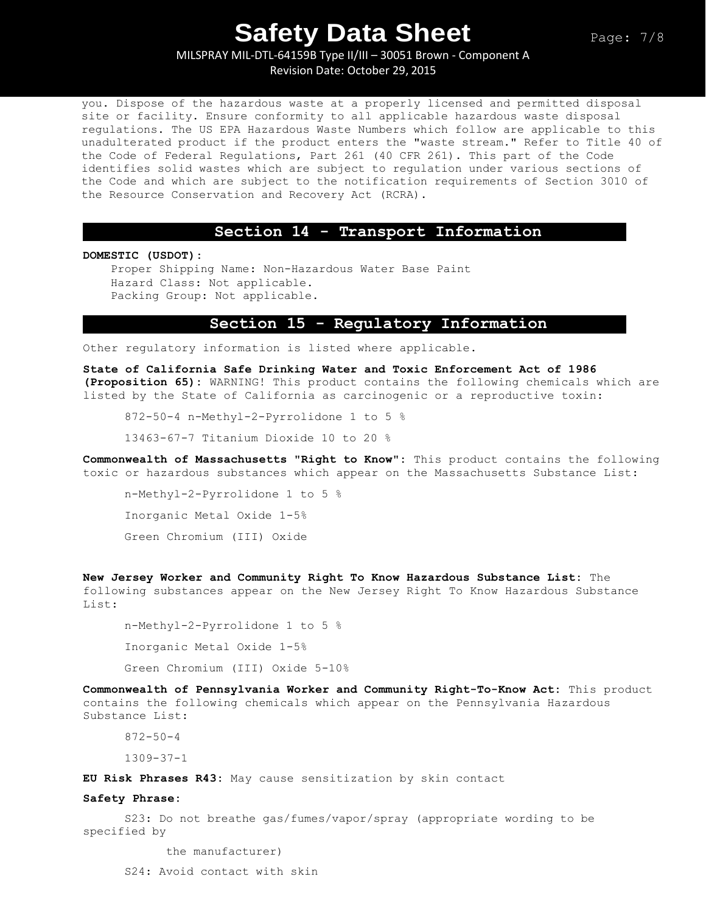MILSPRAY MIL-DTL-64159B Type II/III – 30051 Brown - Component A Revision Date: October 29, 2015

you. Dispose of the hazardous waste at a properly licensed and permitted disposal site or facility. Ensure conformity to all applicable hazardous waste disposal regulations. The US EPA Hazardous Waste Numbers which follow are applicable to this unadulterated product if the product enters the "waste stream." Refer to Title 40 of the Code of Federal Regulations, Part 261 (40 CFR 261). This part of the Code identifies solid wastes which are subject to regulation under various sections of the Code and which are subject to the notification requirements of Section 3010 of the Resource Conservation and Recovery Act (RCRA).

#### **Section 14 - Transport Information**

**DOMESTIC (USDOT):**

Proper Shipping Name: Non-Hazardous Water Base Paint Hazard Class: Not applicable. Packing Group: Not applicable.

### **Section 15 - Regulatory Information**

Other regulatory information is listed where applicable.

**State of California Safe Drinking Water and Toxic Enforcement Act of 1986 (Proposition 65):** WARNING! This product contains the following chemicals which are listed by the State of California as carcinogenic or a reproductive toxin:

872-50-4 n-Methyl-2-Pyrrolidone 1 to 5 %

13463-67-7 Titanium Dioxide 10 to 20 %

**Commonwealth of Massachusetts "Right to Know":** This product contains the following toxic or hazardous substances which appear on the Massachusetts Substance List:

n-Methyl-2-Pyrrolidone 1 to 5 % Inorganic Metal Oxide 1-5% Green Chromium (III) Oxide

**New Jersey Worker and Community Right To Know Hazardous Substance List:** The following substances appear on the New Jersey Right To Know Hazardous Substance List:

n-Methyl-2-Pyrrolidone 1 to 5 %

Inorganic Metal Oxide 1-5%

Green Chromium (III) Oxide 5-10%

**Commonwealth of Pennsylvania Worker and Community Right-To-Know Act:** This product contains the following chemicals which appear on the Pennsylvania Hazardous Substance List:

872-50-4

1309-37-1

**EU Risk Phrases R43:** May cause sensitization by skin contact

#### **Safety Phrase:**

S23: Do not breathe gas/fumes/vapor/spray (appropriate wording to be specified by

the manufacturer)

S24: Avoid contact with skin